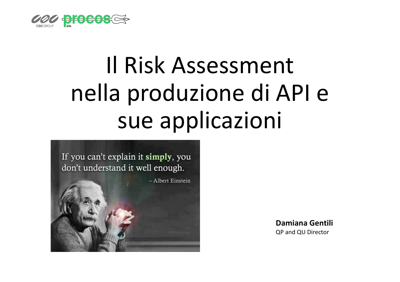

# Il Risk Assessment nella produzione di API e sue applicazioni



**Damiana Gentili**QP and QU Director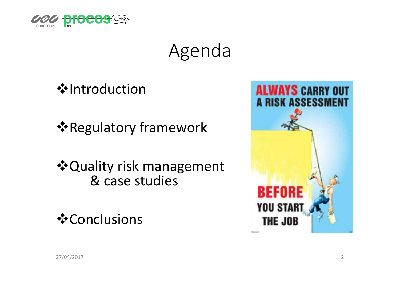

## Agenda

**☆Introduction** 

**\*** Regulatory framework

**❖ Quality risk management** & case studies

**❖**Conclusions

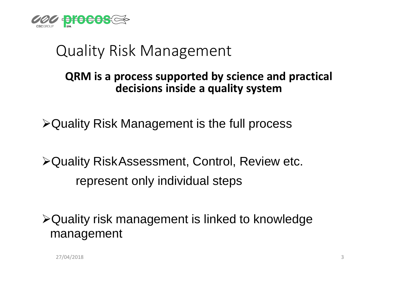

### Quality Risk Management

#### **QRM is a process supported by science and practicaldecisions inside a quality system**

-Quality Risk Management is the full process

-Quality RiskAssessment, Control, Review etc.represent only individual steps

-Quality risk management is linked to knowledge management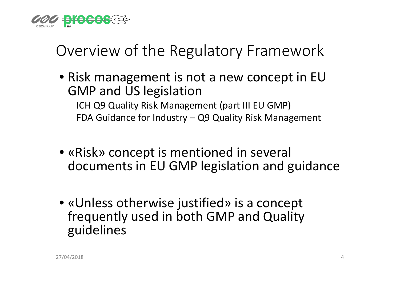

### Overview of the Regulatory Framework

• Risk management is not a new concept in EU GMP and US legislation

 ICH Q9 Quality Risk Management (part III EU GMP)FDA Guidance for Industry – Q9 Quality Risk Management

- «Risk» concept is mentioned in several documents in EU GMP legislation and guidance
- «Unless otherwise justified» is a concept frequently used in both GMP and Quality guidelines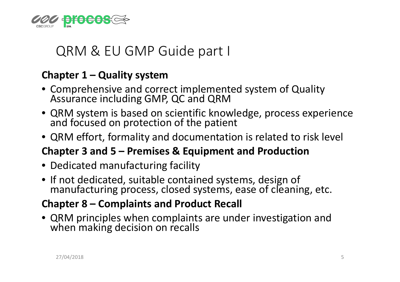

### QRM & EU GMP Guide part I

#### **Chapter 1 – Quality system**

- Comprehensive and correct implemented system of Quality Assurance including GMP, QC and QRM
- QRM system is based on scientific knowledge, process experience<br>and focused on protection of the patient
- QRM effort, formality and documentation is related to risk level

### **Chapter 3 and 5 – Premises & Equipment and Production**

- Dedicated manufacturing facility
- If not dedicated, suitable contained systems, design of manufacturing process, closed systems, ease of cleaning, etc.

#### **Chapter 8 – Complaints and Product Recall**

• QRM principles when complaints are under investigation and when making decision on recalls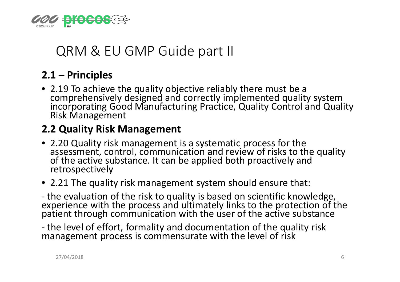

### QRM & EU GMP Guide part II

#### **2.1 – Principles**

• 2.19 To achieve the quality objective reliably there must be a comprehensively designed and correctly implemented quality system incorporating Good Manufacturing Practice, Quality Control and Quality Risk Management

#### **2.2 Quality Risk Management**

- 2.20 Quality risk management is a systematic process for the assessment, control, communication and review of risks to the quality of the active substance. It can be applied both proactively and retrospectively
- 2.21 The quality risk management system should ensure that:

- the evaluation of the risk to quality is based on scientific knowledge, experience with the process and ultimately links to the protection of the patient through communication with the user of the active substance

-- the level of effort, formality and documentation of the quality risk<br>management process is commensurate with the level of risk management process is commensurate with the level of risk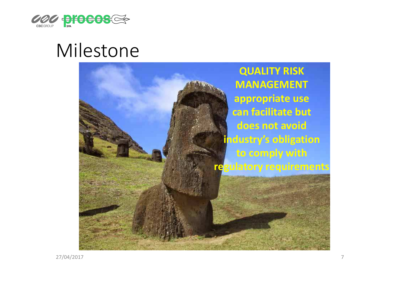

## Milestone

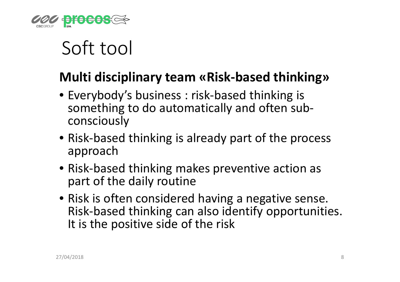

## Soft tool

### **Multi disciplinary team «Risk-based thinking»**

- Everybody's business : risk-based thinking is something to do automatically and often subconsciously
- Risk-based thinking is already part of the process approach
- Risk-based thinking makes preventive action as part of the daily routine
- Risk is often considered having a negative sense. Risk-based thinking can also identify opportunities. It is the positive side of the risk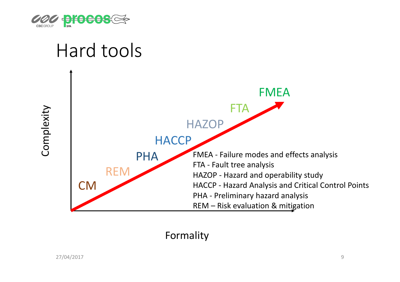

#### Hard toolsFMEA**FTA** Complexity Complexity **HAZOP HACCP** FMEA - Failure modes and effects analysis PHAFTA - Fault tree analysis REMHAZOP - Hazard and operability study CMHACCP - Hazard Analysis and Critical Control Points PHA - Preliminary hazard analysis REM – Risk evaluation & mitigation

Formality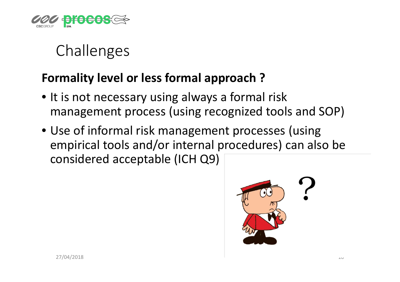

## **Challenges**

### **Formality level or less formal approach ?**

- It is not necessary using always a formal risk management process (using recognized tools and SOP)
- Use of informal risk management processes (using empirical tools and/or internal procedures) can also be considered acceptable (ICH Q9)

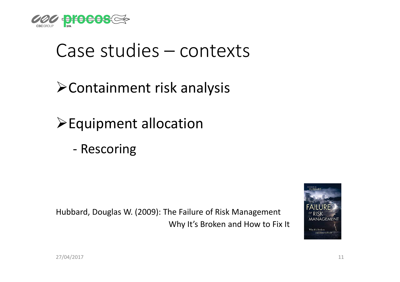

## Case studies – contexts

-Containment risk analysis

- > Equipment allocation
	- -Rescoring

Hubbard, Douglas W. (2009): The Failure of Risk ManagementWhy It's Broken and How to Fix It

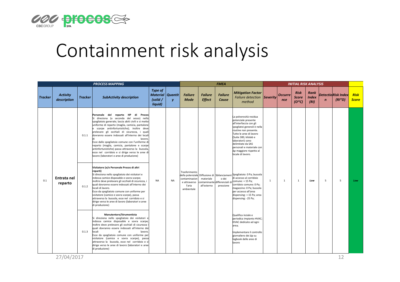

## Containment risk analysis

| <b>PROCESS MAPPING</b> |                                |                         |                                                                                                                                                                                                                                                                                                                                                                                                                                                                                                                                                                                                                                                                                                                                                                                                                                                                                                                                                                                                                                                                                                                                                                                                                                                                                                                                                                                                                                                                                                                                                                                                                     |                                                                  |           | <b>FMEA</b>                                                            |                          |                         |                                                                                                                                                                                                                                                                                                                                                                                                                                                                                                                                                                                                                                                                                                                                                                                     |                | <b>INITIAL RISK ANALYSIS</b> |                                        |                              |                                                       |   |                             |  |
|------------------------|--------------------------------|-------------------------|---------------------------------------------------------------------------------------------------------------------------------------------------------------------------------------------------------------------------------------------------------------------------------------------------------------------------------------------------------------------------------------------------------------------------------------------------------------------------------------------------------------------------------------------------------------------------------------------------------------------------------------------------------------------------------------------------------------------------------------------------------------------------------------------------------------------------------------------------------------------------------------------------------------------------------------------------------------------------------------------------------------------------------------------------------------------------------------------------------------------------------------------------------------------------------------------------------------------------------------------------------------------------------------------------------------------------------------------------------------------------------------------------------------------------------------------------------------------------------------------------------------------------------------------------------------------------------------------------------------------|------------------------------------------------------------------|-----------|------------------------------------------------------------------------|--------------------------|-------------------------|-------------------------------------------------------------------------------------------------------------------------------------------------------------------------------------------------------------------------------------------------------------------------------------------------------------------------------------------------------------------------------------------------------------------------------------------------------------------------------------------------------------------------------------------------------------------------------------------------------------------------------------------------------------------------------------------------------------------------------------------------------------------------------------|----------------|------------------------------|----------------------------------------|------------------------------|-------------------------------------------------------|---|-----------------------------|--|
| <b>Tracker</b>         | <b>Activity</b><br>description | <b>Tracker</b>          | <b>SubActivity description</b>                                                                                                                                                                                                                                                                                                                                                                                                                                                                                                                                                                                                                                                                                                                                                                                                                                                                                                                                                                                                                                                                                                                                                                                                                                                                                                                                                                                                                                                                                                                                                                                      | <b>Type of</b><br><b>Material</b> Quantit<br>(solid /<br>liquid) | y         | <b>Failure</b><br><b>Failure</b><br><b>Mode</b><br><b>Effect</b>       |                          | <b>Failure</b><br>Cause | <b>Mitigation Factor</b><br>Failure detection Severity<br>method                                                                                                                                                                                                                                                                                                                                                                                                                                                                                                                                                                                                                                                                                                                    |                | <b>Occurre</b><br>nce        | <b>Risk</b><br><b>Score</b><br>$(O*C)$ | Rank<br><b>Index</b><br>(RI) | <b>DetectioRisk Index</b><br>$(RI^*D)$<br>$\mathbf n$ |   | <b>Risk</b><br><b>Score</b> |  |
| 0.1                    | Entrata nel<br>reparto         | 0.1.1<br>0.1.2<br>0.1.3 | Personale del<br>reparto HP<br>di Procosl<br>Si direziona (a seconda del sesso) nello<br>spogliatoio generale; lascia abiti civili e si mette<br>uniforme di reparto (maglia, camicia, pantalone<br>e scarpe antinfortunistiche); inoltre deve<br>prelevare gli occhiali di sicurezza, i quali<br>dovranno essere indossati all'interno dei locali<br>lavoro.<br>Esce dallo spogliatoio comune con l'uniforme di<br>reparto (maglia, camicia, pantalone e scarpe<br>antinfortunistiche) passa attraverso la bussola,<br>esce nel corridoio e si dirige verso le aree di<br>lavoro (laboratori e aree di produzione)<br>Visitatore (e/o Personale Procos di altri<br>reparti)<br>Si direziona nello spogliatoio dei visitatori e<br>indossa camice disposable e sovra scarpe;<br>inoltre deve prelevare gli occhiali di sicurezza, i<br>quali dovranno essere indossati all'interno dei<br>locali di lavoro.<br>Esce da spogliatoio comune con uniforme per<br>visitatore (camice e sovra scarpe), passa<br>attraverso la bussola, esce nel corridoio e si<br>dirige verso le aree di lavoro (laboratori e aree<br>di produzione)<br>Manutentore/Strumentista<br>Si direziona nello spogliatoio dei visitatori e<br>indossa camice disposable e sovra scarpe;<br>inoltre deve prelevare gli occhiali di sicurezza<br>quali dovranno essere indossati all'interno dei<br>locali<br>lavoro.<br>di<br>Esce da spogliatoio comune con uniforme per<br>visitatore (camice e sovra scarpe), passa<br>attraverso la bussola, esce nel corridoio e si<br>dirige verso le aree di lavoro (laboratori e aree<br>di produzione) | <b>NA</b>                                                        | <b>NA</b> | Trasferimento<br>contaminazion<br>e attraverso<br>l'aria<br>ambientale | materiale<br>all'esterno | o dei<br>pressione      | La polverosità residua<br>potenziale presente<br>all'interfaccia con gli<br>spogliatoi generali è nella<br>routine non presente.<br>Tutte le aree di lavoro<br>(Suite 300, kilolab e<br>laboratori) sono<br>delimitate da SAS<br>personali e materiale con<br>Ap maggiore rispetto al<br>locale di lavoro.<br>della potenziale Diffusione di Sbilanciament Spogliatoio: 0 Pa; bussola<br>di accesso al corridoio<br>:ontaminante differenziali di Comune: + 15 Pa;<br>corridoio comune: 0 Pa;<br>magazzino: 0 Pa; bussola<br>per accesso all'area<br>dispensing: + 15 Pa; area<br>dispensing: -25 Pa;<br>Qualifica inziale e<br>periodica impianto HVAC;<br>HVAC dedicato ad ogni<br>area;<br>Implementare il controllo<br>giornaliero dei ∆p su<br>logbook delle aree di<br>lavoro | $\overline{1}$ | 1                            | 1                                      | Low                          | 5                                                     | 5 | Low                         |  |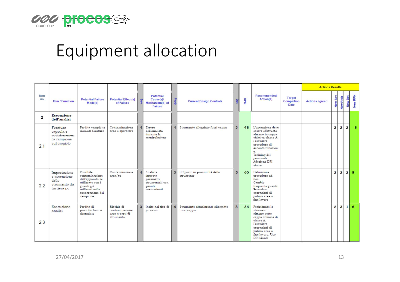

## Equipment allocation

|             |                                                                      |                                                                                                                                        |                                                              |                         |                                                                              |                |                                                  |              |     |                                                                                                                                                                                              |                                     | <b>Actions Results</b> |                |                |                |         |
|-------------|----------------------------------------------------------------------|----------------------------------------------------------------------------------------------------------------------------------------|--------------------------------------------------------------|-------------------------|------------------------------------------------------------------------------|----------------|--------------------------------------------------|--------------|-----|----------------------------------------------------------------------------------------------------------------------------------------------------------------------------------------------|-------------------------------------|------------------------|----------------|----------------|----------------|---------|
| Item<br>no  | <b>Item / Function</b>                                               | <b>Potential Failure</b><br>Mode(s)                                                                                                    | <b>Potential Effect(s)</b><br>of Failure                     |                         | <b>Potential</b><br>Cause(s)/<br>Mechanism(s) of<br><b>Failure</b>           | Prob           | <b>Current Design Controls</b>                   |              | RPN | Recommended<br>Action(s)                                                                                                                                                                     | <b>Target</b><br>Completion<br>Date | <b>Actions agreed</b>  | New Sev        | New Prob       | <b>New Det</b> | New RPN |
| $\mathbf 2$ | <b>Esecuzione</b><br>dell'analisi                                    |                                                                                                                                        |                                                              |                         |                                                                              |                |                                                  |              |     |                                                                                                                                                                                              |                                     |                        |                |                |                |         |
| 2.1         | Foratura<br>capsula e<br>posizionamen<br>to campione<br>sul crogiolo | Perdita campione<br>durante foratura                                                                                                   | Contaminazione<br>area e operatore                           | $\overline{\mathbf{4}}$ | Errore<br>dell'analista<br>durante la<br>manipolazione                       | $\overline{4}$ | Strumento alloggiato fuori cappa                 | 3            | 48  | L'operazione deve<br>essere effettuata<br>almeno in cappa<br>chimica classe A.<br>Prevedere<br>procedura di<br>decontaminazion<br>e.<br>Training del<br>personale.<br>Adozione DPI<br>idonei |                                     |                        | $\overline{2}$ | $\overline{2}$ | $\overline{2}$ | 8       |
| 2.2         | Impostazione<br>e accensione<br>de11o<br>strumento da<br>tastiera pc | Possibile<br>contaminazione<br>dell'apparato se<br>utilizzato con i<br>guanti già<br>utilizzati nella<br>preparazione del<br>campione. | Contaminazione<br>area/pc                                    | $\mathbf{A}$            | Analista<br>imposta<br>parametri<br>strumentali con<br>guanti<br>contaminati | 3 <sup>1</sup> | PC posto in prossimità dello<br>strumento        | 5            | 60  | Definizione<br>procedura ad<br>hoc.<br>Cambio<br>frequente guanti.<br>Prevedere<br>operazioni di<br>pulizia area a<br>fine lavoro                                                            |                                     |                        | $\overline{2}$ | $\overline{2}$ | $\overline{2}$ | 8       |
| 2.3         | Esecuzione<br>analisi                                                | Perdita di<br>prodotto fuso o<br>degradato                                                                                             | Rischio di<br>contaminazione<br>area e parti di<br>strumento | $\overline{\mathbf{3}}$ | Insito nel tipo di<br>processo                                               | $\vert$        | Strumento attualmente alloggiato<br>fuori cappa. | $\mathbf{3}$ | 36  | Posizionare lo<br>strumento<br>almeno sotto<br>cappa chimica di<br>classe A<br>Prevedere<br>operazioni di<br>pulizia area a<br>fine lavoro, Uso<br>DPI idonei                                |                                     |                        | $\overline{2}$ | 3              | 1 <sup>1</sup> | 6       |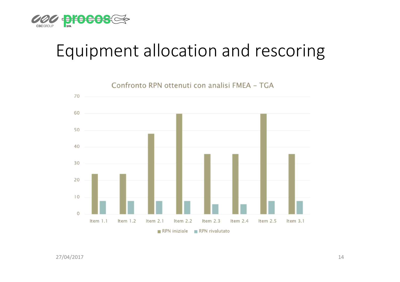

## Equipment allocation and rescoring

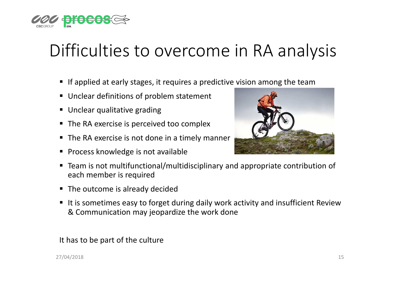

## Difficulties to overcome in RA analysis

- **If applied at early stages, it requires a predictive vision among the team**
- Unclear definitions of problem statement
- Unclear qualitative grading
- $\textcolor{red}{\bullet}$  The RA exercise is perceived too complex
- The RA exercise is not done in a timely manner
- Process knowledge is not available



- Team is not multifunctional/multidisciplinary and appropriate contribution of each member is required
- The outcome is already decided
- It is sometimes easy to forget during daily work activity and insufficient Review & Communication may jeopardize the work done

#### It has to be part of the culture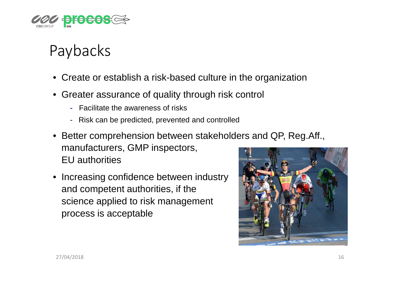

### Paybacks

- Create or establish a risk-based culture in the organization
- Greater assurance of quality through risk control
	- Facilitate the awareness of risks
	- Risk can be predicted, prevented and controlled
- Better comprehension between stakeholders and QP, Reg.Aff., manufacturers, GMP inspectors, EU authorities
- Increasing confidence between industry and competent authorities, if the science applied to risk management process is acceptable

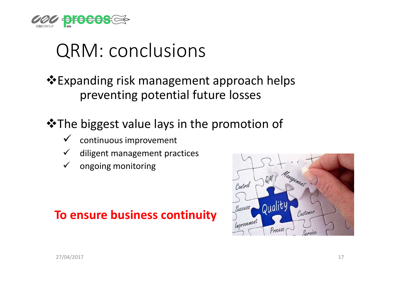

## QRM: conclusions

**Expanding risk management approach helps** preventing potential future losses

 $\triangle$ **The biggest value lays in the promotion of** 

- $\checkmark$ continuous improvement
- $\checkmark$ diligent management practices
- $\checkmark$ ongoing monitoring

### **To ensure business continuity**